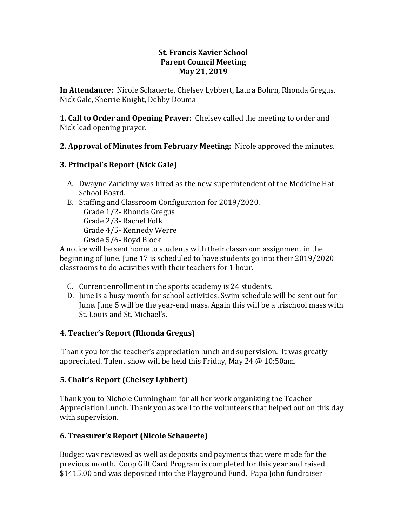### **St. Francis Xavier School Parent Council Meeting May 21, 2019**

**In Attendance:** Nicole Schauerte, Chelsey Lybbert, Laura Bohrn, Rhonda Gregus, Nick Gale, Sherrie Knight, Debby Douma

**1. Call to Order and Opening Prayer:** Chelsey called the meeting to order and Nick lead opening prayer.

## **2. Approval of Minutes from February Meeting:** Nicole approved the minutes.

## **3. Principal's Report (Nick Gale)**

- A. Dwayne Zarichny was hired as the new superintendent of the Medicine Hat School Board.
- B. Staffing and Classroom Configuration for 2019/2020. Grade 1/2- Rhonda Gregus Grade 2/3- Rachel Folk Grade 4/5- Kennedy Werre Grade 5/6- Boyd Block

A notice will be sent home to students with their classroom assignment in the beginning of June. June 17 is scheduled to have students go into their 2019/2020 classrooms to do activities with their teachers for 1 hour.

- C. Current enrollment in the sports academy is 24 students.
- D. June is a busy month for school activities. Swim schedule will be sent out for June. June 5 will be the year-end mass. Again this will be a trischool mass with St. Louis and St. Michael's.

## **4. Teacher's Report (Rhonda Gregus)**

Thank you for the teacher's appreciation lunch and supervision. It was greatly appreciated. Talent show will be held this Friday, May 24 @ 10:50am.

## **5. Chair's Report (Chelsey Lybbert)**

Thank you to Nichole Cunningham for all her work organizing the Teacher Appreciation Lunch. Thank you as well to the volunteers that helped out on this day with supervision.

## **6. Treasurer's Report (Nicole Schauerte)**

Budget was reviewed as well as deposits and payments that were made for the previous month. Coop Gift Card Program is completed for this year and raised \$1415.00 and was deposited into the Playground Fund. Papa John fundraiser